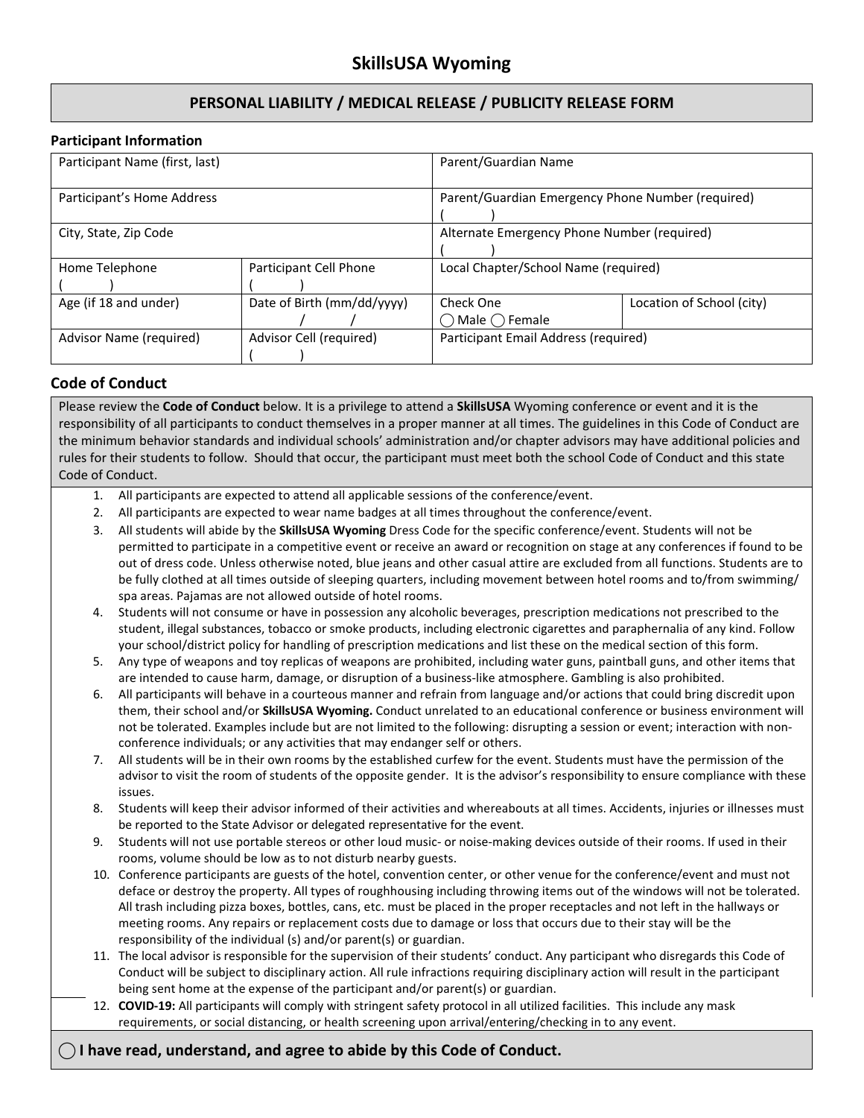# **PERSONAL LIABILITY / MEDICAL RELEASE / PUBLICITY RELEASE FORM**

#### **Participant Information**

| Participant Name (first, last) |                            | Parent/Guardian Name                              |                           |
|--------------------------------|----------------------------|---------------------------------------------------|---------------------------|
| Participant's Home Address     |                            | Parent/Guardian Emergency Phone Number (required) |                           |
| City, State, Zip Code          |                            | Alternate Emergency Phone Number (required)       |                           |
| Home Telephone                 | Participant Cell Phone     | Local Chapter/School Name (required)              |                           |
| Age (if 18 and under)          | Date of Birth (mm/dd/yyyy) | Check One<br>Male () Female                       | Location of School (city) |
| Advisor Name (required)        | Advisor Cell (required)    | Participant Email Address (required)              |                           |

## **Code of Conduct**

Please review the **Code of Conduct** below. It is a privilege to attend a **SkillsUSA** Wyoming conference or event and it is the responsibility of all participants to conduct themselves in a proper manner at all times. The guidelines in this Code of Conduct are the minimum behavior standards and individual schools' administration and/or chapter advisors may have additional policies and rules for their students to follow. Should that occur, the participant must meet both the school Code of Conduct and this state Code of Conduct.

- 1. All participants are expected to attend all applicable sessions of the conference/event.
- 2. All participants are expected to wear name badges at all times throughout the conference/event.
- 3. All students will abide by the **SkillsUSA Wyoming** Dress Code for the specific conference/event. Students will not be permitted to participate in a competitive event or receive an award or recognition on stage at any conferences if found to be out of dress code. Unless otherwise noted, blue jeans and other casual attire are excluded from all functions. Students are to be fully clothed at all times outside of sleeping quarters, including movement between hotel rooms and to/from swimming/ spa areas. Pajamas are not allowed outside of hotel rooms.
- 4. Students will not consume or have in possession any alcoholic beverages, prescription medications not prescribed to the student, illegal substances, tobacco or smoke products, including electronic cigarettes and paraphernalia of any kind. Follow your school/district policy for handling of prescription medications and list these on the medical section of this form.
- 5. Any type of weapons and toy replicas of weapons are prohibited, including water guns, paintball guns, and other items that are intended to cause harm, damage, or disruption of a business-like atmosphere. Gambling is also prohibited.
- 6. All participants will behave in a courteous manner and refrain from language and/or actions that could bring discredit upon them, their school and/or **SkillsUSA Wyoming.** Conduct unrelated to an educational conference or business environment will not be tolerated. Examples include but are not limited to the following: disrupting a session or event; interaction with nonconference individuals; or any activities that may endanger self or others.
- 7. All students will be in their own rooms by the established curfew for the event. Students must have the permission of the advisor to visit the room of students of the opposite gender. It is the advisor's responsibility to ensure compliance with these issues.
- 8. Students will keep their advisor informed of their activities and whereabouts at all times. Accidents, injuries or illnesses must be reported to the State Advisor or delegated representative for the event.
- 9. Students will not use portable stereos or other loud music- or noise-making devices outside of their rooms. If used in their rooms, volume should be low as to not disturb nearby guests.
- 10. Conference participants are guests of the hotel, convention center, or other venue for the conference/event and must not deface or destroy the property. All types of roughhousing including throwing items out of the windows will not be tolerated. All trash including pizza boxes, bottles, cans, etc. must be placed in the proper receptacles and not left in the hallways or meeting rooms. Any repairs or replacement costs due to damage or loss that occurs due to their stay will be the responsibility of the individual (s) and/or parent(s) or guardian.
- 11. The local advisor is responsible for the supervision of their students' conduct. Any participant who disregards this Code of Conduct will be subject to disciplinary action. All rule infractions requiring disciplinary action will result in the participant being sent home at the expense of the participant and/or parent(s) or guardian.
- 12. **COVID-19:** All participants will comply with stringent safety protocol in all utilized facilities. This include any mask requirements, or social distancing, or health screening upon arrival/entering/checking in to any event.

### **⃝ I have read, understand, and agree to abide by this Code of Conduct.**